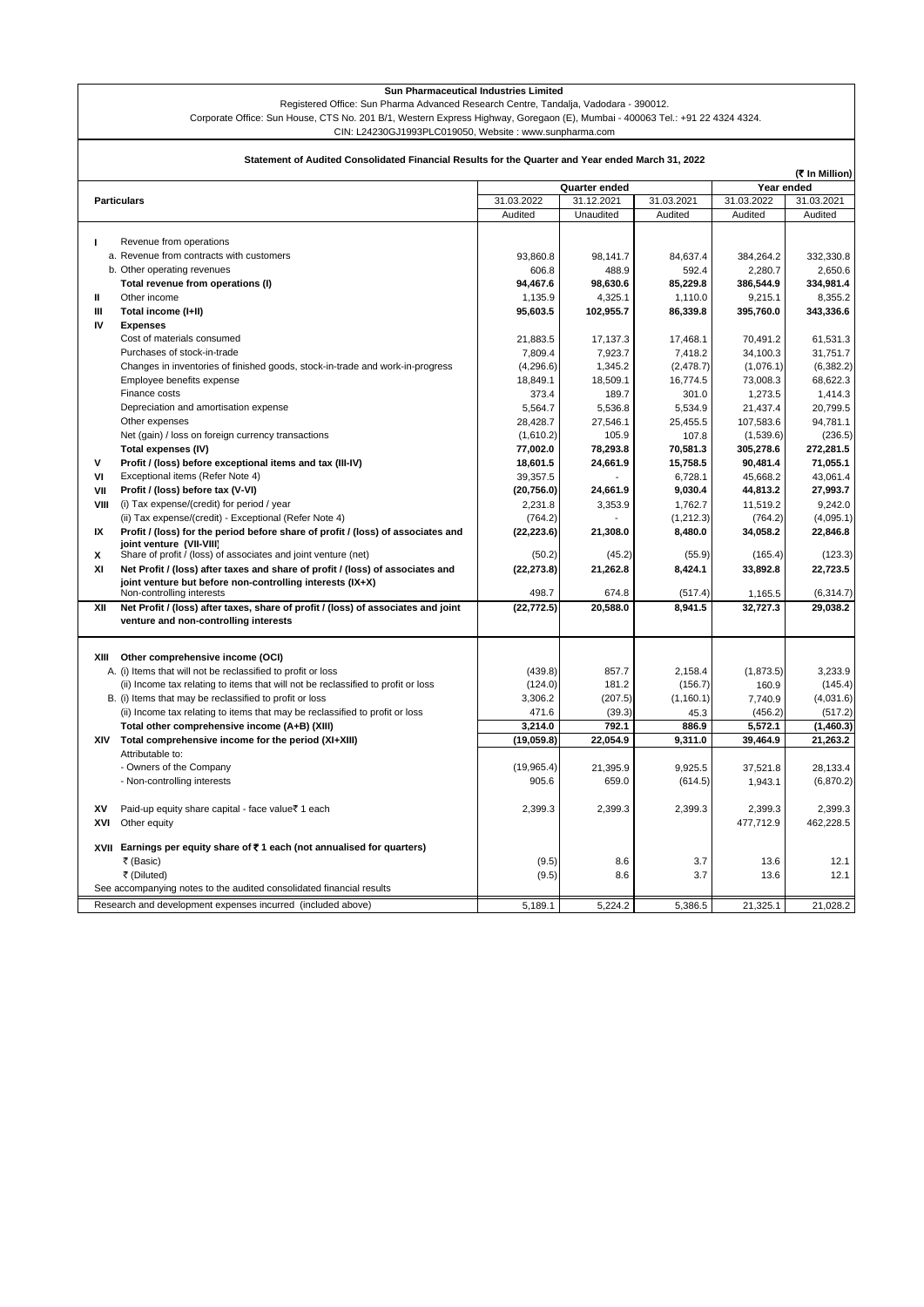Registered Office: Sun Pharma Advanced Research Centre, Tandalja, Vadodara - 390012.

Corporate Office: Sun House, CTS No. 201 B/1, Western Express Highway, Goregaon (E), Mumbai - 400063 Tel.: +91 22 4324 4324.

CIN: L24230GJ1993PLC019050, Website : www.sunpharma.com

| Statement of Audited Consolidated Financial Results for the Quarter and Year ended March 31, 2022<br>(そ In Million) |                                                                                                                            |               |            |            |            |            |  |
|---------------------------------------------------------------------------------------------------------------------|----------------------------------------------------------------------------------------------------------------------------|---------------|------------|------------|------------|------------|--|
|                                                                                                                     |                                                                                                                            | Quarter ended |            |            | Year ended |            |  |
|                                                                                                                     | <b>Particulars</b>                                                                                                         | 31.03.2022    | 31.12.2021 | 31.03.2021 | 31.03.2022 | 31.03.2021 |  |
|                                                                                                                     |                                                                                                                            | Audited       | Unaudited  | Audited    | Audited    | Audited    |  |
|                                                                                                                     |                                                                                                                            |               |            |            |            |            |  |
| L                                                                                                                   | Revenue from operations                                                                                                    |               |            |            |            |            |  |
|                                                                                                                     | a. Revenue from contracts with customers                                                                                   | 93.860.8      | 98,141.7   | 84,637.4   | 384,264.2  | 332,330.8  |  |
|                                                                                                                     | b. Other operating revenues                                                                                                | 606.8         | 488.9      | 592.4      | 2,280.7    | 2,650.6    |  |
|                                                                                                                     | Total revenue from operations (I)                                                                                          | 94,467.6      | 98,630.6   | 85,229.8   | 386,544.9  | 334,981.4  |  |
| Ш                                                                                                                   | Other income                                                                                                               | 1,135.9       | 4,325.1    | 1,110.0    | 9,215.1    | 8,355.2    |  |
| Ш                                                                                                                   | Total income (I+II)                                                                                                        | 95,603.5      | 102,955.7  | 86,339.8   | 395,760.0  | 343,336.6  |  |
| IV                                                                                                                  | <b>Expenses</b>                                                                                                            |               |            |            |            |            |  |
|                                                                                                                     | Cost of materials consumed                                                                                                 | 21,883.5      | 17,137.3   | 17,468.1   | 70,491.2   | 61.531.3   |  |
|                                                                                                                     | Purchases of stock-in-trade                                                                                                | 7,809.4       | 7,923.7    | 7,418.2    | 34,100.3   | 31.751.7   |  |
|                                                                                                                     | Changes in inventories of finished goods, stock-in-trade and work-in-progress                                              | (4,296.6)     | 1,345.2    | (2, 478.7) | (1,076.1)  | (6, 382.2) |  |
|                                                                                                                     | Employee benefits expense                                                                                                  | 18,849.1      | 18,509.1   | 16,774.5   | 73,008.3   | 68,622.3   |  |
|                                                                                                                     | Finance costs                                                                                                              | 373.4         | 189.7      | 301.0      | 1,273.5    | 1,414.3    |  |
|                                                                                                                     | Depreciation and amortisation expense                                                                                      | 5,564.7       | 5,536.8    | 5,534.9    | 21,437.4   | 20,799.5   |  |
|                                                                                                                     | Other expenses                                                                                                             | 28,428.7      | 27,546.1   | 25,455.5   | 107,583.6  | 94,781.1   |  |
|                                                                                                                     | Net (gain) / loss on foreign currency transactions                                                                         | (1,610.2)     | 105.9      | 107.8      | (1,539.6)  | (236.5)    |  |
|                                                                                                                     | Total expenses (IV)                                                                                                        | 77,002.0      | 78,293.8   | 70,581.3   | 305,278.6  | 272,281.5  |  |
| V                                                                                                                   | Profit / (loss) before exceptional items and tax (III-IV)                                                                  | 18,601.5      | 24,661.9   | 15,758.5   | 90,481.4   | 71,055.1   |  |
| ٧I                                                                                                                  | Exceptional items (Refer Note 4)                                                                                           | 39.357.5      |            | 6,728.1    | 45,668.2   | 43.061.4   |  |
| VII                                                                                                                 | Profit / (loss) before tax (V-VI)                                                                                          | (20, 756.0)   | 24,661.9   | 9,030.4    | 44,813.2   | 27,993.7   |  |
| VIII                                                                                                                | (i) Tax expense/(credit) for period / year                                                                                 | 2,231.8       | 3,353.9    | 1,762.7    | 11,519.2   | 9,242.0    |  |
|                                                                                                                     | (ii) Tax expense/(credit) - Exceptional (Refer Note 4)                                                                     | (764.2)       |            | (1,212.3)  | (764.2)    | (4,095.1)  |  |
| IX                                                                                                                  | Profit / (loss) for the period before share of profit / (loss) of associates and                                           | (22, 223.6)   | 21,308.0   | 8,480.0    | 34,058.2   | 22,846.8   |  |
|                                                                                                                     | ioint venture (VII-VIII)                                                                                                   |               |            |            |            |            |  |
| X                                                                                                                   | Share of profit / (loss) of associates and joint venture (net)                                                             | (50.2)        | (45.2)     | (55.9)     | (165.4)    | (123.3)    |  |
| XI                                                                                                                  | Net Profit / (loss) after taxes and share of profit / (loss) of associates and                                             | (22, 273.8)   | 21,262.8   | 8,424.1    | 33,892.8   | 22,723.5   |  |
|                                                                                                                     | joint venture but before non-controlling interests (IX+X)                                                                  |               |            |            |            |            |  |
|                                                                                                                     | Non-controlling interests                                                                                                  | 498.7         | 674.8      | (517.4)    | 1,165.5    | (6,314.7)  |  |
| XII                                                                                                                 | Net Profit / (loss) after taxes, share of profit / (loss) of associates and joint<br>venture and non-controlling interests | (22, 772.5)   | 20,588.0   | 8,941.5    | 32,727.3   | 29,038.2   |  |
|                                                                                                                     |                                                                                                                            |               |            |            |            |            |  |
|                                                                                                                     | XIII Other comprehensive income (OCI)<br>A. (i) Items that will not be reclassified to profit or loss                      | (439.8)       | 857.7      | 2,158.4    | (1,873.5)  | 3,233.9    |  |
|                                                                                                                     | (ii) Income tax relating to items that will not be reclassified to profit or loss                                          | (124.0)       | 181.2      | (156.7)    | 160.9      | (145.4)    |  |
|                                                                                                                     | B. (i) Items that may be reclassified to profit or loss                                                                    | 3,306.2       | (207.5)    | (1, 160.1) | 7,740.9    | (4,031.6)  |  |
|                                                                                                                     | (ii) Income tax relating to items that may be reclassified to profit or loss                                               | 471.6         | (39.3)     | 45.3       | (456.2)    | (517.2)    |  |
|                                                                                                                     | Total other comprehensive income (A+B) (XIII)                                                                              | 3.214.0       | 792.1      | 886.9      | 5,572.1    | (1,460.3)  |  |
|                                                                                                                     | XIV Total comprehensive income for the period (XI+XIII)                                                                    | (19,059.8)    | 22,054.9   | 9,311.0    | 39,464.9   | 21,263.2   |  |
|                                                                                                                     | Attributable to:                                                                                                           |               |            |            |            |            |  |
|                                                                                                                     | - Owners of the Company                                                                                                    | (19,965.4)    | 21,395.9   | 9,925.5    | 37,521.8   | 28,133.4   |  |
|                                                                                                                     | - Non-controlling interests                                                                                                | 905.6         | 659.0      | (614.5)    | 1,943.1    | (6,870.2)  |  |
|                                                                                                                     |                                                                                                                            |               |            |            |            |            |  |
| XV                                                                                                                  | Paid-up equity share capital - face value₹ 1 each                                                                          | 2,399.3       | 2,399.3    | 2,399.3    | 2,399.3    | 2,399.3    |  |
|                                                                                                                     |                                                                                                                            |               |            |            |            |            |  |
|                                                                                                                     | XVI Other equity                                                                                                           |               |            |            | 477,712.9  | 462,228.5  |  |
|                                                                                                                     | XVII Earnings per equity share of ₹1 each (not annualised for quarters)                                                    |               |            |            |            |            |  |
|                                                                                                                     | ₹ (Basic)                                                                                                                  | (9.5)         | 8.6        | 3.7        | 13.6       | 12.1       |  |
|                                                                                                                     | ₹ (Diluted)                                                                                                                | (9.5)         | 8.6        | 3.7        | 13.6       | 12.1       |  |
|                                                                                                                     | See accompanying notes to the audited consolidated financial results                                                       |               |            |            |            |            |  |
|                                                                                                                     | Research and development expenses incurred (included above)                                                                | 5,189.1       | 5,224.2    | 5,386.5    | 21,325.1   | 21,028.2   |  |
|                                                                                                                     |                                                                                                                            |               |            |            |            |            |  |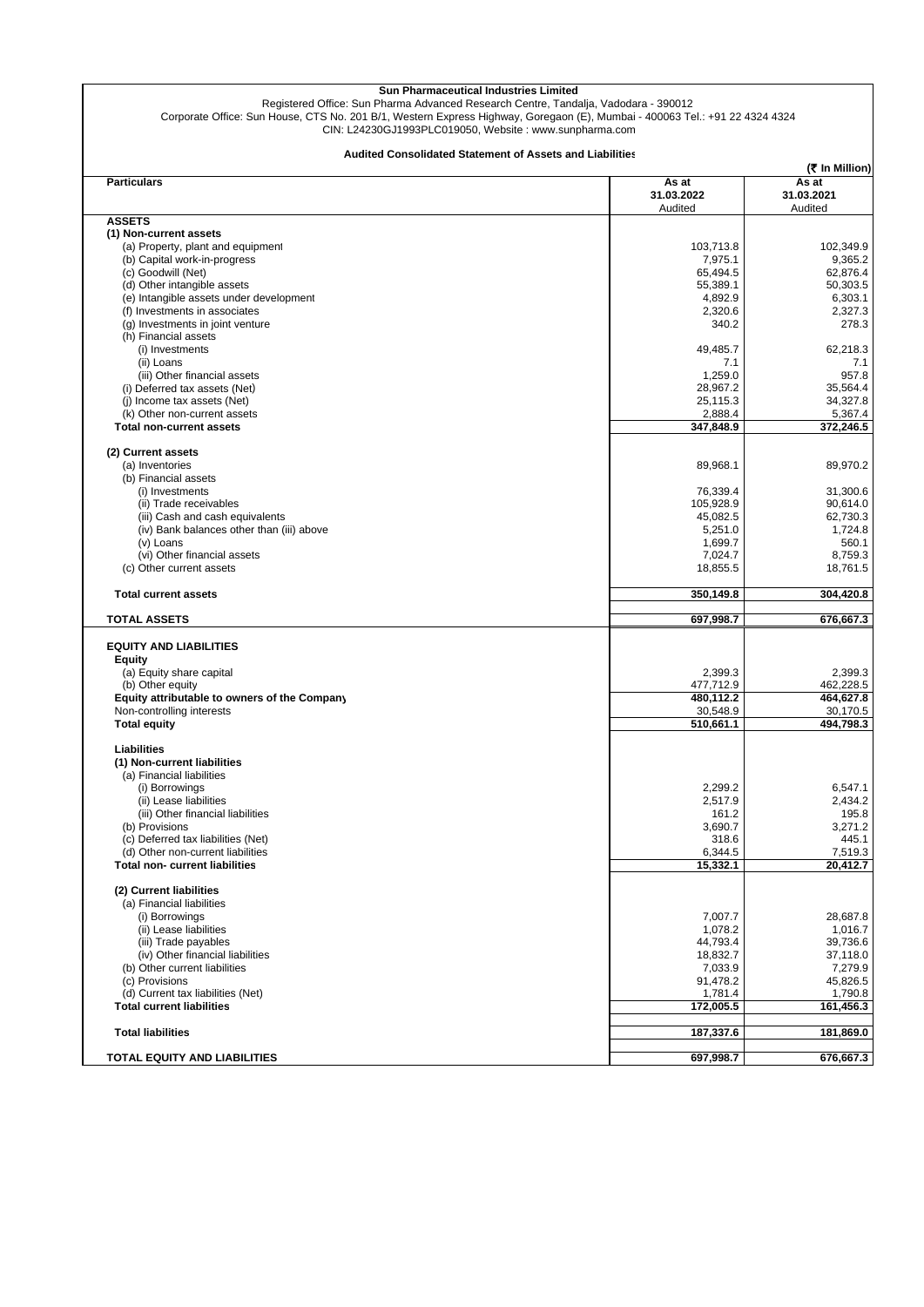| Sun Pharmaceutical Industries Limited<br>Registered Office: Sun Pharma Advanced Research Centre, Tandalja, Vadodara - 390012<br>Corporate Office: Sun House, CTS No. 201 B/1, Western Express Highway, Goregaon (E), Mumbai - 400063 Tel.: +91 22 4324 4324<br>CIN: L24230GJ1993PLC019050, Website: www.sunpharma.com |                                |                                                  |
|-----------------------------------------------------------------------------------------------------------------------------------------------------------------------------------------------------------------------------------------------------------------------------------------------------------------------|--------------------------------|--------------------------------------------------|
| <b>Audited Consolidated Statement of Assets and Liabilities</b>                                                                                                                                                                                                                                                       |                                |                                                  |
| <b>Particulars</b>                                                                                                                                                                                                                                                                                                    | As at<br>31.03.2022<br>Audited | (そ In Million)<br>As at<br>31.03.2021<br>Audited |
| <b>ASSETS</b>                                                                                                                                                                                                                                                                                                         |                                |                                                  |
| (1) Non-current assets                                                                                                                                                                                                                                                                                                |                                |                                                  |
| (a) Property, plant and equipment                                                                                                                                                                                                                                                                                     | 103,713.8<br>7,975.1           | 102,349.9                                        |
| (b) Capital work-in-progress<br>(c) Goodwill (Net)                                                                                                                                                                                                                                                                    | 65,494.5                       | 9,365.2<br>62,876.4                              |
| (d) Other intangible assets                                                                                                                                                                                                                                                                                           | 55,389.1                       | 50,303.5                                         |
| (e) Intangible assets under development                                                                                                                                                                                                                                                                               | 4,892.9                        | 6,303.1                                          |
| (f) Investments in associates                                                                                                                                                                                                                                                                                         | 2,320.6                        | 2,327.3                                          |
| (g) Investments in joint venture                                                                                                                                                                                                                                                                                      | 340.2                          | 278.3                                            |
| (h) Financial assets                                                                                                                                                                                                                                                                                                  |                                |                                                  |
| (i) Investments                                                                                                                                                                                                                                                                                                       | 49,485.7                       | 62,218.3                                         |
| (ii) Loans                                                                                                                                                                                                                                                                                                            | 7.1                            | 7.1                                              |
| (iii) Other financial assets                                                                                                                                                                                                                                                                                          | 1,259.0                        | 957.8                                            |
| (i) Deferred tax assets (Net)                                                                                                                                                                                                                                                                                         | 28,967.2                       | 35,564.4                                         |
| (i) Income tax assets (Net)                                                                                                                                                                                                                                                                                           | 25,115.3                       | 34,327.8                                         |
| (k) Other non-current assets                                                                                                                                                                                                                                                                                          | 2,888.4                        | 5,367.4                                          |
| <b>Total non-current assets</b>                                                                                                                                                                                                                                                                                       | 347,848.9                      | 372,246.5                                        |
| (2) Current assets                                                                                                                                                                                                                                                                                                    |                                |                                                  |
| (a) Inventories<br>(b) Financial assets                                                                                                                                                                                                                                                                               | 89,968.1                       | 89,970.2                                         |
| (i) Investments                                                                                                                                                                                                                                                                                                       | 76,339.4                       | 31,300.6                                         |
| (ii) Trade receivables                                                                                                                                                                                                                                                                                                | 105,928.9                      | 90,614.0                                         |
| (iii) Cash and cash equivalents                                                                                                                                                                                                                                                                                       | 45,082.5                       | 62,730.3                                         |
| (iv) Bank balances other than (iii) above                                                                                                                                                                                                                                                                             | 5,251.0                        | 1,724.8                                          |
| (v) Loans                                                                                                                                                                                                                                                                                                             | 1,699.7                        | 560.1                                            |
| (vi) Other financial assets                                                                                                                                                                                                                                                                                           | 7,024.7                        | 8,759.3                                          |
| (c) Other current assets                                                                                                                                                                                                                                                                                              | 18,855.5                       | 18,761.5                                         |
| <b>Total current assets</b>                                                                                                                                                                                                                                                                                           | 350,149.8                      | 304,420.8                                        |
| <b>TOTAL ASSETS</b>                                                                                                                                                                                                                                                                                                   | 697,998.7                      | 676,667.3                                        |
| <b>EQUITY AND LIABILITIES</b>                                                                                                                                                                                                                                                                                         |                                |                                                  |
| <b>Equity</b>                                                                                                                                                                                                                                                                                                         |                                |                                                  |
| (a) Equity share capital                                                                                                                                                                                                                                                                                              | 2,399.3                        | 2,399.3                                          |
| (b) Other equity                                                                                                                                                                                                                                                                                                      | 477,712.9                      | 462,228.5                                        |
| Equity attributable to owners of the Company                                                                                                                                                                                                                                                                          | 480,112.2                      | 464,627.8                                        |
| Non-controlling interests                                                                                                                                                                                                                                                                                             | 30,548.9                       | 30,170.5                                         |
| <b>Total equity</b>                                                                                                                                                                                                                                                                                                   | 510,661.1                      | 494,798.3                                        |
| Liabilities<br>(1) Non-current liabilities                                                                                                                                                                                                                                                                            |                                |                                                  |
| (a) Financial liabilities                                                                                                                                                                                                                                                                                             |                                |                                                  |
| (i) Borrowings                                                                                                                                                                                                                                                                                                        | 2,299.2                        | 6,547.1                                          |
| (ii) Lease liabilities<br>(iii) Other financial liabilities                                                                                                                                                                                                                                                           | 2,517.9<br>161.2               | 2,434.2<br>195.8                                 |
| (b) Provisions                                                                                                                                                                                                                                                                                                        | 3,690.7                        | 3,271.2                                          |
| (c) Deferred tax liabilities (Net)                                                                                                                                                                                                                                                                                    | 318.6                          | 445.1                                            |
| (d) Other non-current liabilities                                                                                                                                                                                                                                                                                     | 6,344.5                        | 7,519.3                                          |
| <b>Total non- current liabilities</b>                                                                                                                                                                                                                                                                                 | 15,332.1                       | 20.412.7                                         |
| (2) Current liabilities                                                                                                                                                                                                                                                                                               |                                |                                                  |
| (a) Financial liabilities                                                                                                                                                                                                                                                                                             |                                |                                                  |
| (i) Borrowings                                                                                                                                                                                                                                                                                                        | 7,007.7                        | 28,687.8                                         |
| (ii) Lease liabilities                                                                                                                                                                                                                                                                                                | 1,078.2                        | 1,016.7                                          |
| (iii) Trade payables                                                                                                                                                                                                                                                                                                  | 44,793.4                       | 39,736.6                                         |
| (iv) Other financial liabilities                                                                                                                                                                                                                                                                                      | 18,832.7                       | 37,118.0                                         |
| (b) Other current liabilities                                                                                                                                                                                                                                                                                         | 7,033.9<br>91,478.2            | 7,279.9<br>45,826.5                              |
| (c) Provisions<br>(d) Current tax liabilities (Net)                                                                                                                                                                                                                                                                   | 1,781.4                        | 1,790.8                                          |
| <b>Total current liabilities</b>                                                                                                                                                                                                                                                                                      | 172,005.5                      | 161,456.3                                        |
| <b>Total liabilities</b>                                                                                                                                                                                                                                                                                              | 187,337.6                      | 181,869.0                                        |
|                                                                                                                                                                                                                                                                                                                       |                                |                                                  |
| <b>TOTAL EQUITY AND LIABILITIES</b>                                                                                                                                                                                                                                                                                   | 697,998.7                      | 676,667.3                                        |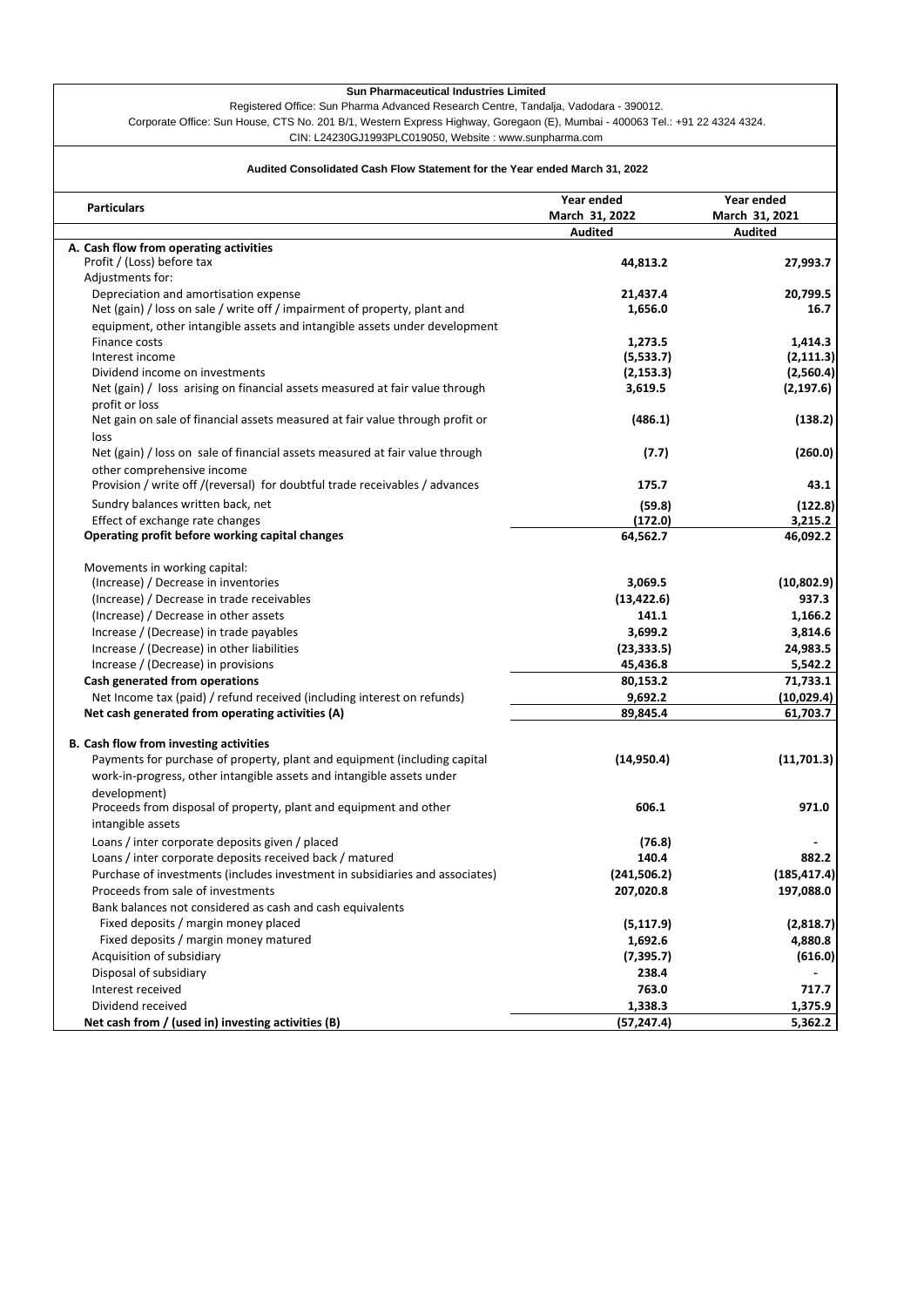Registered Office: Sun Pharma Advanced Research Centre, Tandalja, Vadodara - 390012. Corporate Office: Sun House, CTS No. 201 B/1, Western Express Highway, Goregaon (E), Mumbai - 400063 Tel.: +91 22 4324 4324.

CIN: L24230GJ1993PLC019050, Website : www.sunpharma.com

# **Audited Consolidated Cash Flow Statement for the Year ended March 31, 2022**

| <b>Particulars</b>                                                            | Year ended     | Year ended     |
|-------------------------------------------------------------------------------|----------------|----------------|
|                                                                               | March 31, 2022 | March 31, 2021 |
| A. Cash flow from operating activities                                        | <b>Audited</b> | <b>Audited</b> |
| Profit / (Loss) before tax                                                    | 44,813.2       | 27,993.7       |
| Adjustments for:                                                              |                |                |
| Depreciation and amortisation expense                                         | 21,437.4       | 20,799.5       |
| Net (gain) / loss on sale / write off / impairment of property, plant and     | 1,656.0        | 16.7           |
| equipment, other intangible assets and intangible assets under development    |                |                |
| Finance costs                                                                 | 1,273.5        | 1,414.3        |
| Interest income                                                               | (5,533.7)      | (2, 111.3)     |
| Dividend income on investments                                                | (2, 153.3)     | (2,560.4)      |
| Net (gain) / loss arising on financial assets measured at fair value through  | 3,619.5        | (2, 197.6)     |
| profit or loss                                                                |                |                |
| Net gain on sale of financial assets measured at fair value through profit or | (486.1)        | (138.2)        |
| loss                                                                          |                |                |
| Net (gain) / loss on sale of financial assets measured at fair value through  | (7.7)          | (260.0)        |
| other comprehensive income                                                    |                |                |
| Provision / write off /(reversal) for doubtful trade receivables / advances   | 175.7          | 43.1           |
| Sundry balances written back, net                                             | (59.8)         | (122.8)        |
| Effect of exchange rate changes                                               | (172.0)        | 3,215.2        |
| Operating profit before working capital changes                               | 64,562.7       | 46,092.2       |
| Movements in working capital:                                                 |                |                |
| (Increase) / Decrease in inventories                                          | 3,069.5        | (10, 802.9)    |
| (Increase) / Decrease in trade receivables                                    | (13, 422.6)    | 937.3          |
| (Increase) / Decrease in other assets                                         | 141.1          | 1,166.2        |
| Increase / (Decrease) in trade payables                                       | 3,699.2        | 3,814.6        |
| Increase / (Decrease) in other liabilities                                    | (23, 333.5)    | 24,983.5       |
| Increase / (Decrease) in provisions                                           | 45,436.8       | 5,542.2        |
| Cash generated from operations                                                | 80,153.2       | 71,733.1       |
| Net Income tax (paid) / refund received (including interest on refunds)       | 9,692.2        | (10, 029.4)    |
| Net cash generated from operating activities (A)                              | 89,845.4       | 61,703.7       |
| B. Cash flow from investing activities                                        |                |                |
| Payments for purchase of property, plant and equipment (including capital     | (14, 950.4)    | (11,701.3)     |
| work-in-progress, other intangible assets and intangible assets under         |                |                |
| development)                                                                  |                |                |
| Proceeds from disposal of property, plant and equipment and other             | 606.1          | 971.0          |
| intangible assets                                                             |                |                |
| Loans / inter corporate deposits given / placed                               | (76.8)         |                |
| Loans / inter corporate deposits received back / matured                      | 140.4          | 882.2          |
| Purchase of investments (includes investment in subsidiaries and associates)  | (241, 506.2)   | (185, 417.4)   |
| Proceeds from sale of investments                                             | 207,020.8      | 197,088.0      |
| Bank balances not considered as cash and cash equivalents                     |                |                |
| Fixed deposits / margin money placed                                          | (5, 117.9)     | (2,818.7)      |
| Fixed deposits / margin money matured                                         | 1,692.6        | 4,880.8        |
| Acquisition of subsidiary                                                     | (7, 395.7)     | (616.0)        |
| Disposal of subsidiary                                                        | 238.4          |                |
| Interest received                                                             | 763.0          | 717.7          |
| Dividend received                                                             | 1,338.3        | 1,375.9        |
| Net cash from / (used in) investing activities (B)                            | (57, 247.4)    | 5,362.2        |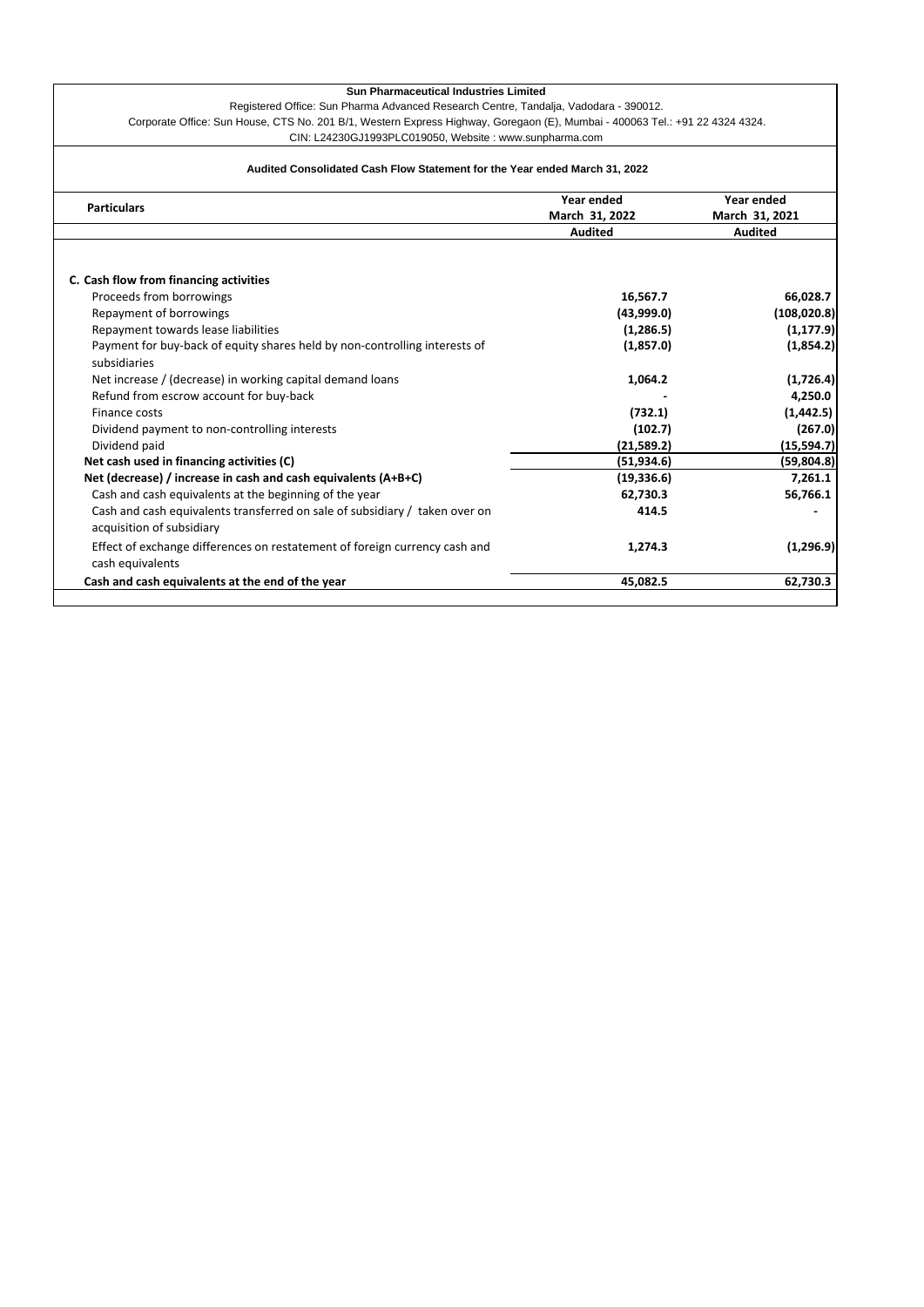Registered Office: Sun Pharma Advanced Research Centre, Tandalja, Vadodara - 390012. Corporate Office: Sun House, CTS No. 201 B/1, Western Express Highway, Goregaon (E), Mumbai - 400063 Tel.: +91 22 4324 4324. CIN: L24230GJ1993PLC019050, Website : www.sunpharma.com

# **Audited Consolidated Cash Flow Statement for the Year ended March 31, 2022**

| <b>Particulars</b>                                                          | Year ended<br>March 31, 2022 | Year ended<br>March 31, 2021 |  |
|-----------------------------------------------------------------------------|------------------------------|------------------------------|--|
|                                                                             | <b>Audited</b>               | <b>Audited</b>               |  |
|                                                                             |                              |                              |  |
| C. Cash flow from financing activities                                      |                              |                              |  |
| Proceeds from borrowings                                                    | 16,567.7                     | 66,028.7                     |  |
| Repayment of borrowings                                                     | (43,999.0)                   | (108, 020.8)                 |  |
| Repayment towards lease liabilities                                         | (1,286.5)                    | (1, 177.9)                   |  |
| Payment for buy-back of equity shares held by non-controlling interests of  | (1,857.0)                    | (1,854.2)                    |  |
| subsidiaries                                                                |                              |                              |  |
| Net increase / (decrease) in working capital demand loans                   | 1,064.2                      | (1,726.4)                    |  |
| Refund from escrow account for buy-back                                     |                              | 4,250.0                      |  |
| Finance costs                                                               | (732.1)                      | (1, 442.5)                   |  |
| Dividend payment to non-controlling interests                               | (102.7)                      | (267.0)                      |  |
| Dividend paid                                                               | (21,589.2)                   | (15, 594.7)                  |  |
| Net cash used in financing activities (C)                                   | (51, 934.6)                  | (59,804.8)                   |  |
| Net (decrease) / increase in cash and cash equivalents (A+B+C)              | (19, 336.6)                  | 7,261.1                      |  |
| Cash and cash equivalents at the beginning of the year                      | 62,730.3                     | 56,766.1                     |  |
| Cash and cash equivalents transferred on sale of subsidiary / taken over on | 414.5                        |                              |  |
| acquisition of subsidiary                                                   |                              |                              |  |
| Effect of exchange differences on restatement of foreign currency cash and  | 1,274.3                      | (1, 296.9)                   |  |
| cash equivalents                                                            |                              |                              |  |
| Cash and cash equivalents at the end of the year                            | 45,082.5                     | 62,730.3                     |  |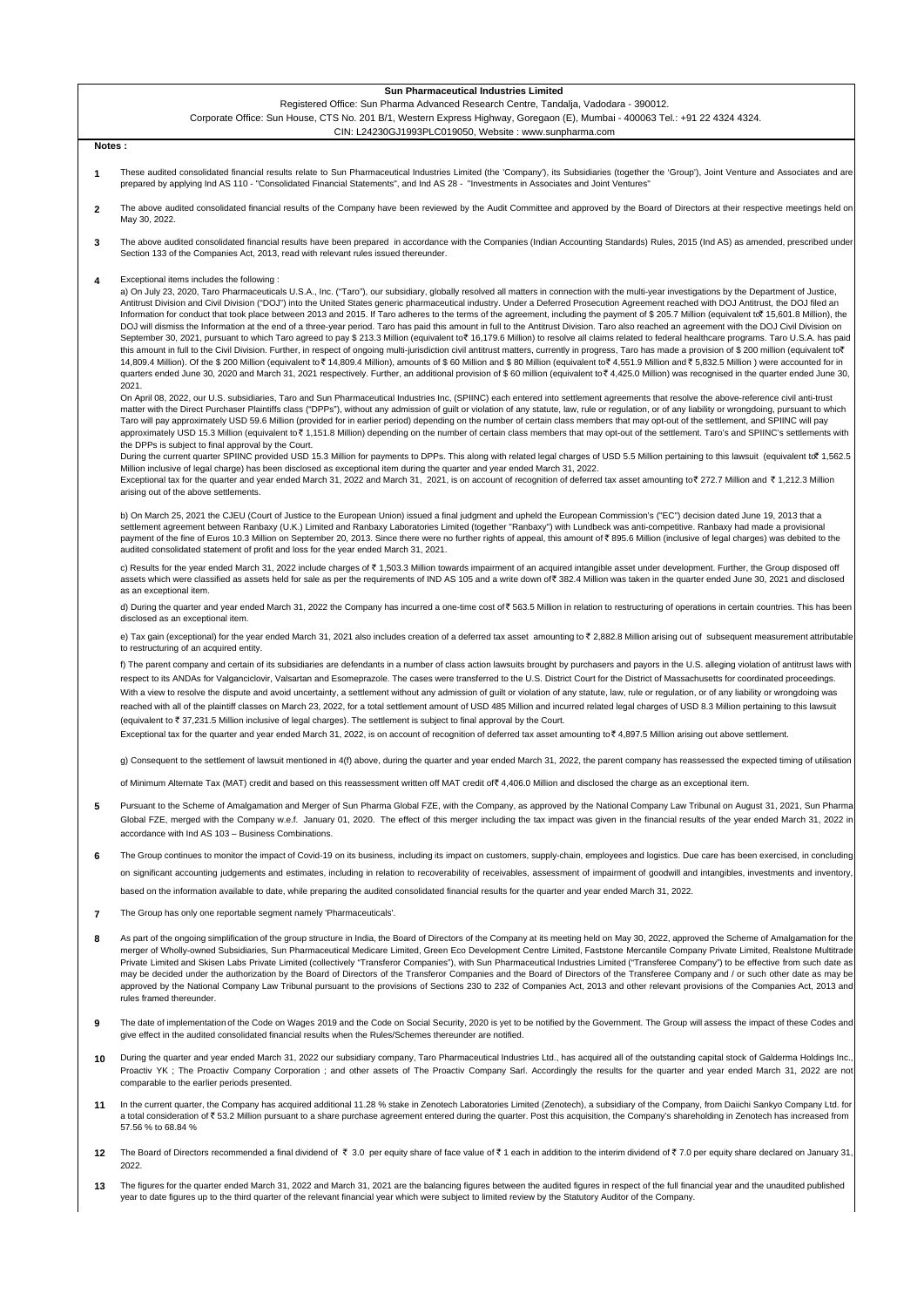#### Registered Office: Sun Pharma Advanced Research Centre, Tandalja, Vadodara - 390012.

Corporate Office: Sun House, CTS No. 201 B/1, Western Express Highway, Goregaon (E), Mumbai - 400063 Tel.: +91 22 4324 4324. CIN: L24230GJ1993PLC019050, Website : www.sunpharma.com

### **Notes :**

- **1** These audited consolidated financial results relate to Sun Pharmaceutical Industries Limited (the 'Company'), its Subsidiaries (together the 'Group'), Joint Venture and Associates and are prepared by applying Ind AS 110 - "Consolidated Financial Statements", and Ind AS 28 - "Investments in Associates and Joint Ventures"
- **2** udited consolidated financial results of the Company have been reviewed by the Audit Committee and approved by the Board of Directors at their respective meetings held or May 30, 2022.
- **3** The above audited consolidated financial results have been prepared in accordance with the Companies (Indian Accounting Standards) Rules, 2015 (Ind AS) as amended, prescribed under<br>Section 133 of the Companies Act, 2013, r
- **4** Exceptional items includes the following :

a) On July 23, 2020, Taro Pharmaceuticals U.S.A., Inc. ("Taro"), our subsidiary, globally resolved all matters in connection with the multi-year investigations by the Department of Justice, Antitrust Division and Civil Division ("DOJ") into the United States generic pharmaceutical industry. Under a Deferred Prosecution Agreement reached with DOJ Antitrust, the DOJ filed an Information for conduct that took place between 2013 and 2015. If Taro adheres to the terms of the agreement, including the payment of \$ 205.7 Million (equivalent to ` 15,601.8 Million), the DOJ will dismiss the Information at the end of a three-year period. Taro has paid this amount in full to the Antitrust Division. Taro also reached an agreement with the DOJ Civil Division on September 30, 2021, pursuant to which Taro agreed to pay \$ 213.3 Million (equivalent to <a> 16,179.6 Million) to resolve all claims related to federal healthcare programs. Taro U.S.A. has paid this amount in full to the Civil Division. Further, in respect of ongoing multi-jurisdiction civil antitrust matters, currently in progress, Taro has made a provision of \$ 200 million (equivalent to ? 14,809.4 Million). Of the \$ 200 Million (equivalent to ₹ 14,809.4 Million), amounts of \$ 60 Million and \$ 80 Million (equivalent to ₹ 4,551.9 Million and ₹ 5,832.5 Million) were accounted for in quarters ended June 30, 2020 and March 31, 2021 respectively. Further, an additional provision of \$ 60 million (equivalent to ₹ 4,425.0 Million) was recognised in the quarter ended June 30, 2021.

On April 08, 2022, our U.S. subsidiaries, Taro and Sun Pharmaceutical Industries Inc, (SPIINC) each entered into settlement agreements that resolve the above-reference civil anti-trust matter with the Direct Purchaser Plaintiffs class ("DPPs"), without any admission of guilt or violation of any statute, law, rule or regulation, or of any liability or wrongdoing, pursuant to which Taro will pay approximately USD 59.6 Million (provided for in earlier period) depending on the number of certain class members that may opt-out of the settlement, and SPIINC will pay approximately USD 15.3 Million (equivalent to ₹1,151.8 Million) depending on the number of certain class members that may opt-out of the settlement. Taro's and SPIINC's settlements with the DPPs is subject to final approval by the Court.

During the current quarter SPIINC provided USD 15.3 Million for payments to DPPs. This along with related legal charges of USD 5.5 Million pertaining to this lawsuit (equivalent to 1,562.5

Million inclusive of legal charge) has been disclosed as exceptional item during the quarter and year ended March 31, 2022.<br>Exceptional tax for the quarter and year ended March 31, 2022 and March 31, 2021, is on account arising out of the above settlements.

b) On March 25, 2021 the CJEU (Court of Justice to the European Union) issued a final judgment and upheld the European Commission's ("EC") decision dated June 19, 2013 that a settlement agreement between Ranbaxy (U.K.) Limited and Ranbaxy Laboratories Limited (together "Ranbaxy") with Lundbeck was anti-competitive. Ranbaxy had made a provisional payment of the fine of Euros 10.3 Million on September 20, 2013. Since there were no further rights of appeal, this amount of ₹ 895.6 Million (inclusive of legal charges) was debited to the audited consolidated statement of profit and loss for the year ended March 31, 2021.

c) Results for the year ended March 31, 2022 include charges of ₹1,503.3 Million towards impairment of an acquired intangible asset under development. Further, the Group disposed off assets which were classified as assets held for sale as per the requirements of IND AS 105 and a write down of 382.4 Million was taken in the quarter ended June 30, 2021 and disclosed as an exceptional item.

d) During the quarter and year ended March 31, 2022 the Company has incurred a one-time cost of ₹ 563.5 Million in relation to restructuring of operations in certain countries. This has bee disclosed as an exceptional item.

e) Tax gain (exceptional) for the year ended March 31, 2021 also includes creation of a deferred tax asset amounting to ₹ 2,882.8 Million arising out of subsequent measurement attributable to restructuring of an acquired entity.

f) The parent company and certain of its subsidiaries are defendants in a number of class action lawsuits brought by purchasers and payors in the U.S. alleging violation of antitrust laws with respect to its ANDAs for Valganciclovir, Valsartan and Esomeprazole. The cases were transferred to the U.S. District Court for the District of Massachusetts for coordinated proceedings. With a view to resolve the dispute and avoid uncertainty, a settlement without any admission of guilt or violation of any statute, law, rule or regulation, or of any liability or wrongdoing was reached with all of the plaintiff classes on March 23, 2022, for a total settlement amount of USD 485 Million and incurred related legal charges of USD 8.3 Million pertaining to this lawsuit (equivalent to  $\bar{z}$  37,231.5 Million inclusive of legal charges). The settlement is subject to final approval by the Court.

Exceptional tax for the quarter and year ended March 31, 2022, is on account of recognition of deferred tax asset amounting to  $\bar{\tau}$  4,897.5 Million arising out above settlement.

g) Consequent to the settlement of lawsuit mentioned in 4(f) above, during the quarter and year ended March 31, 2022, the parent company has reassessed the expected timing of utilisation

of Minimum Alternate Tax (MAT) credit and based on this reassessment written off MAT credit of ` 4,406.0 Million and disclosed the charge as an exceptional item.

- **5** Pursuant to the Scheme of Amalgamation and Merger of Sun Pharma Global FZE, with the Company, as approved by the National Company Law Tribunal on August 31, 2021, Sun Pharma Global FZE, merged with the Company w.e.f. January 01, 2020. The effect of this merger including the tax impact was given in the financial results of the year ended March 31, 2022 in accordance with Ind AS 103 – Business Combinations.
- **6** The Group continues to monitor the impact of Covid-19 on its business, including its impact on customers, supply-chain, employees and logistics. Due care has been exercised, in concluding on significant accounting judgements and estimates, including in relation to recoverability of receivables, assessment of impairment of goodwill and intangibles, investments and inventory

based on the information available to date, while preparing the audited consolidated financial results for the quarter and year ended March 31, 2022.

- **7** The Group has only one reportable segment namely 'Pharmaceuticals'.
- **8** As part of the ongoing simplification of the group structure in India, the Board of Directors of the Company at its meeting held on May 30, 2022, approved the Scheme of Amalgamation for the merger of Wholly-owned Subsidiaries, Sun Pharmaceutical Medicare Limited, Green Eco Development Centre Limited, Faststone Mercantile Company Private Limited, Realstone Multitrade Private Limited and Skisen Labs Private Limited (collectively "Transferor Companies"), with Sun Pharmaceutical Industries Limited ("Transferee Company") to be effective from such date a may be decided under the authorization by the Board of Directors of the Transferor Companies and the Board of Directors of the Transferee Company and / or such other date as may be approved by the National Company Law Tribunal pursuant to the provisions of Sections 230 to 232 of Companies Act, 2013 and other relevant provisions of the Companies Act, 2013 rules framed thereunder.
- **9** The date of implementation of the Code on Wages 2019 and the Code on Social Security, 2020 is yet to be notified by the Government. The Group will assess the impact of these Codes and give effect in the audited consolidated financial results when the Rules/Schemes thereunder are notified.
- **10** During the quarter and year ended March 31, 2022 our subsidiary company, Taro Pharmaceutical Industries Ltd., has acquired all of the outstanding capital stock of Galderma Holdings Inc. Proactiv YK ; The Proactiv Company Corporation ; and other assets of The Proactiv Company Sarl. Accordingly the results for the quarter and year ended March 31, 2022 are no comparable to the earlier periods presented.
- **11** In the current quarter, the Company has acquired additional 11.28 % stake in Zenotech Laboratories Limited (Zenotech), a subsidiary of the Company, from Daiichi Sankyo Company Ltd. for<br>a total consideration of₹53.2 Millio 57.56 % to 68.84 %
- **12** The Board of Directors recommended a final dividend of  $\bar{\xi}$  3.0 per equity share of face value of  $\xi$  3 or per chips and the interim dividend of  $\xi$  7.0 per equity share declared on January 31, per equity share decla 2022.
- **13** The figures for the quarter ended March 31, 2022 and March 31, 2021 are the balancing figures between the audited figures in respect of the full financial year and the unaudited published year to date figures up to the third quarter of the relevant financial year which were subject to limited review by the Statutory Auditor of the Company.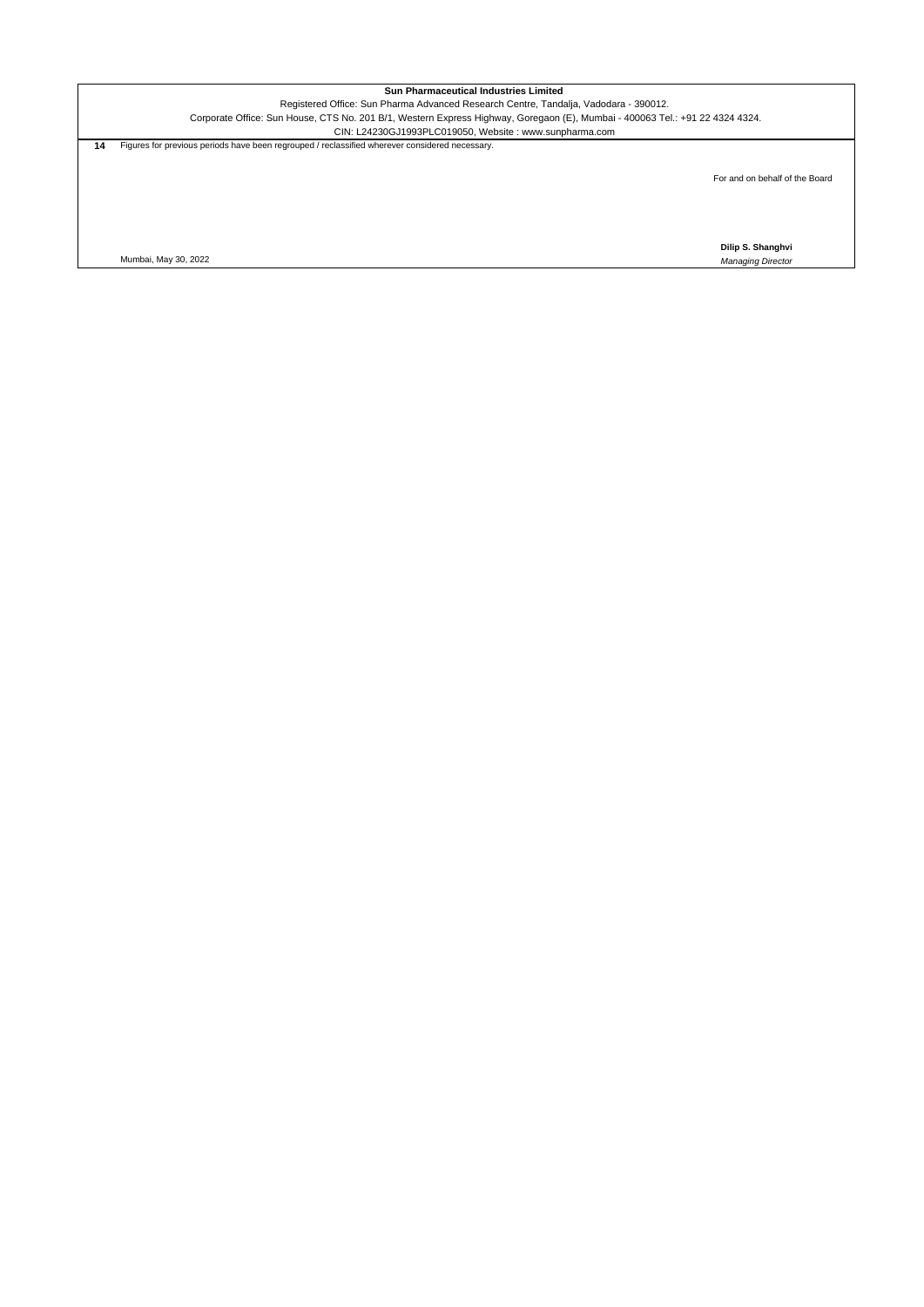Registered Office: Sun Pharma Advanced Research Centre, Tandalja, Vadodara - 390012.

Corporate Office: Sun House, CTS No. 201 B/1, Western Express Highway, Goregaon (E), Mumbai - 400063 Tel.: +91 22 4324 4324. CIN: L24230GJ1993PLC019050, Website : www.sunpharma.com

**14** Figures for previous periods have been regrouped / reclassified wherever considered necessary.

For and on behalf of the Board

**Dilip S. Shanghvi**

Mumbai, May 30, 2022 *Managing Director*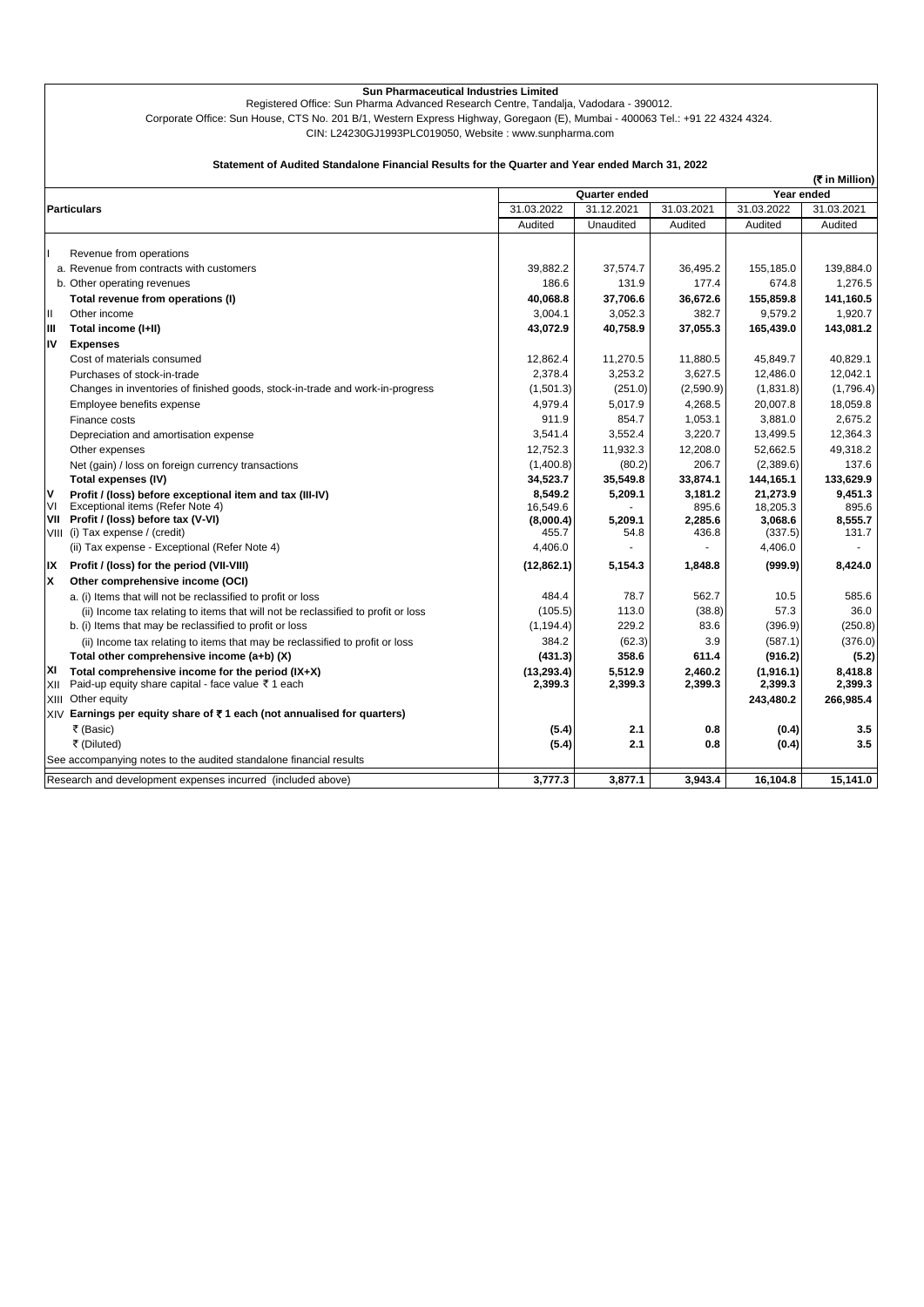Registered Office: Sun Pharma Advanced Research Centre, Tandalja, Vadodara - 390012.

Corporate Office: Sun House, CTS No. 201 B/1, Western Express Highway, Goregaon (E), Mumbai - 400063 Tel.: +91 22 4324 4324.

CIN: L24230GJ1993PLC019050, Website : www.sunpharma.com

## **Statement of Audited Standalone Financial Results for the Quarter and Year ended March 31, 2022**

|     |                                                                                   |             |               |            |            | (रैं in Million) |  |  |
|-----|-----------------------------------------------------------------------------------|-------------|---------------|------------|------------|------------------|--|--|
|     |                                                                                   |             | Quarter ended |            |            | Year ended       |  |  |
|     | <b>Particulars</b>                                                                | 31.03.2022  | 31.12.2021    | 31.03.2021 | 31.03.2022 | 31.03.2021       |  |  |
|     |                                                                                   | Audited     | Unaudited     | Audited    | Audited    | Audited          |  |  |
|     | Revenue from operations                                                           |             |               |            |            |                  |  |  |
|     | a. Revenue from contracts with customers                                          | 39,882.2    | 37,574.7      | 36,495.2   | 155,185.0  | 139,884.0        |  |  |
|     | b. Other operating revenues                                                       | 186.6       | 131.9         | 177.4      | 674.8      | 1.276.5          |  |  |
|     | Total revenue from operations (I)                                                 | 40.068.8    | 37.706.6      | 36,672.6   | 155,859.8  | 141,160.5        |  |  |
| Ш   | Other income                                                                      | 3,004.1     | 3,052.3       | 382.7      | 9,579.2    | 1,920.7          |  |  |
| Ш   | Total income (I+II)                                                               | 43,072.9    | 40,758.9      | 37,055.3   | 165,439.0  | 143,081.2        |  |  |
| IV  | <b>Expenses</b>                                                                   |             |               |            |            |                  |  |  |
|     | Cost of materials consumed                                                        | 12,862.4    | 11,270.5      | 11,880.5   | 45,849.7   | 40,829.1         |  |  |
|     | Purchases of stock-in-trade                                                       | 2,378.4     | 3,253.2       | 3,627.5    | 12,486.0   | 12,042.1         |  |  |
|     | Changes in inventories of finished goods, stock-in-trade and work-in-progress     | (1,501.3)   | (251.0)       | (2,590.9)  | (1,831.8)  | (1,796.4)        |  |  |
|     | Employee benefits expense                                                         | 4.979.4     | 5,017.9       | 4,268.5    | 20,007.8   | 18,059.8         |  |  |
|     | Finance costs                                                                     | 911.9       | 854.7         | 1,053.1    | 3,881.0    | 2,675.2          |  |  |
|     | Depreciation and amortisation expense                                             | 3,541.4     | 3,552.4       | 3,220.7    | 13,499.5   | 12,364.3         |  |  |
|     | Other expenses                                                                    | 12,752.3    | 11,932.3      | 12,208.0   | 52,662.5   | 49,318.2         |  |  |
|     | Net (gain) / loss on foreign currency transactions                                | (1,400.8)   | (80.2)        | 206.7      | (2,389.6)  | 137.6            |  |  |
|     | Total expenses (IV)                                                               | 34,523.7    | 35,549.8      | 33,874.1   | 144,165.1  | 133,629.9        |  |  |
| ۷   | Profit / (loss) before exceptional item and tax (III-IV)                          | 8,549.2     | 5,209.1       | 3,181.2    | 21,273.9   | 9,451.3          |  |  |
| VI  | Exceptional items (Refer Note 4)                                                  | 16,549.6    |               | 895.6      | 18,205.3   | 895.6            |  |  |
|     | VII Profit / (loss) before tax (V-VI)                                             | (8,000.4)   | 5,209.1       | 2,285.6    | 3,068.6    | 8,555.7          |  |  |
|     | VIII (i) Tax expense / (credit)                                                   | 455.7       | 54.8          | 436.8      | (337.5)    | 131.7            |  |  |
|     | (ii) Tax expense - Exceptional (Refer Note 4)                                     | 4,406.0     |               |            | 4,406.0    |                  |  |  |
| IX  | Profit / (loss) for the period (VII-VIII)                                         | (12,862.1)  | 5,154.3       | 1,848.8    | (999.9)    | 8,424.0          |  |  |
| x   | Other comprehensive income (OCI)                                                  |             |               |            |            |                  |  |  |
|     | a. (i) Items that will not be reclassified to profit or loss                      | 484.4       | 78.7          | 562.7      | 10.5       | 585.6            |  |  |
|     | (ii) Income tax relating to items that will not be reclassified to profit or loss | (105.5)     | 113.0         | (38.8)     | 57.3       | 36.0             |  |  |
|     | b. (i) Items that may be reclassified to profit or loss                           | (1, 194.4)  | 229.2         | 83.6       | (396.9)    | (250.8)          |  |  |
|     | (ii) Income tax relating to items that may be reclassified to profit or loss      | 384.2       | (62.3)        | 3.9        | (587.1)    | (376.0)          |  |  |
|     | Total other comprehensive income (a+b) (X)                                        | (431.3)     | 358.6         | 611.4      | (916.2)    | (5.2)            |  |  |
| ΧI  | Total comprehensive income for the period $(IX+X)$                                | (13, 293.4) | 5,512.9       | 2,460.2    | (1,916.1)  | 8,418.8          |  |  |
| XII | Paid-up equity share capital - face value ₹1 each                                 | 2,399.3     | 2,399.3       | 2,399.3    | 2,399.3    | 2,399.3          |  |  |
|     | XIII Other equity                                                                 |             |               |            | 243,480.2  | 266,985.4        |  |  |
|     | XIV Earnings per equity share of ₹1 each (not annualised for quarters)            |             |               |            |            |                  |  |  |
|     | ₹ (Basic)                                                                         | (5.4)       | 2.1           | 0.8        | (0.4)      | 3.5              |  |  |
|     | ₹ (Diluted)                                                                       | (5.4)       | 2.1           | 0.8        | (0.4)      | 3.5              |  |  |
|     | See accompanying notes to the audited standalone financial results                |             |               |            |            |                  |  |  |
|     | Research and development expenses incurred (included above)                       | 3,777.3     | 3,877.1       | 3,943.4    | 16,104.8   | 15,141.0         |  |  |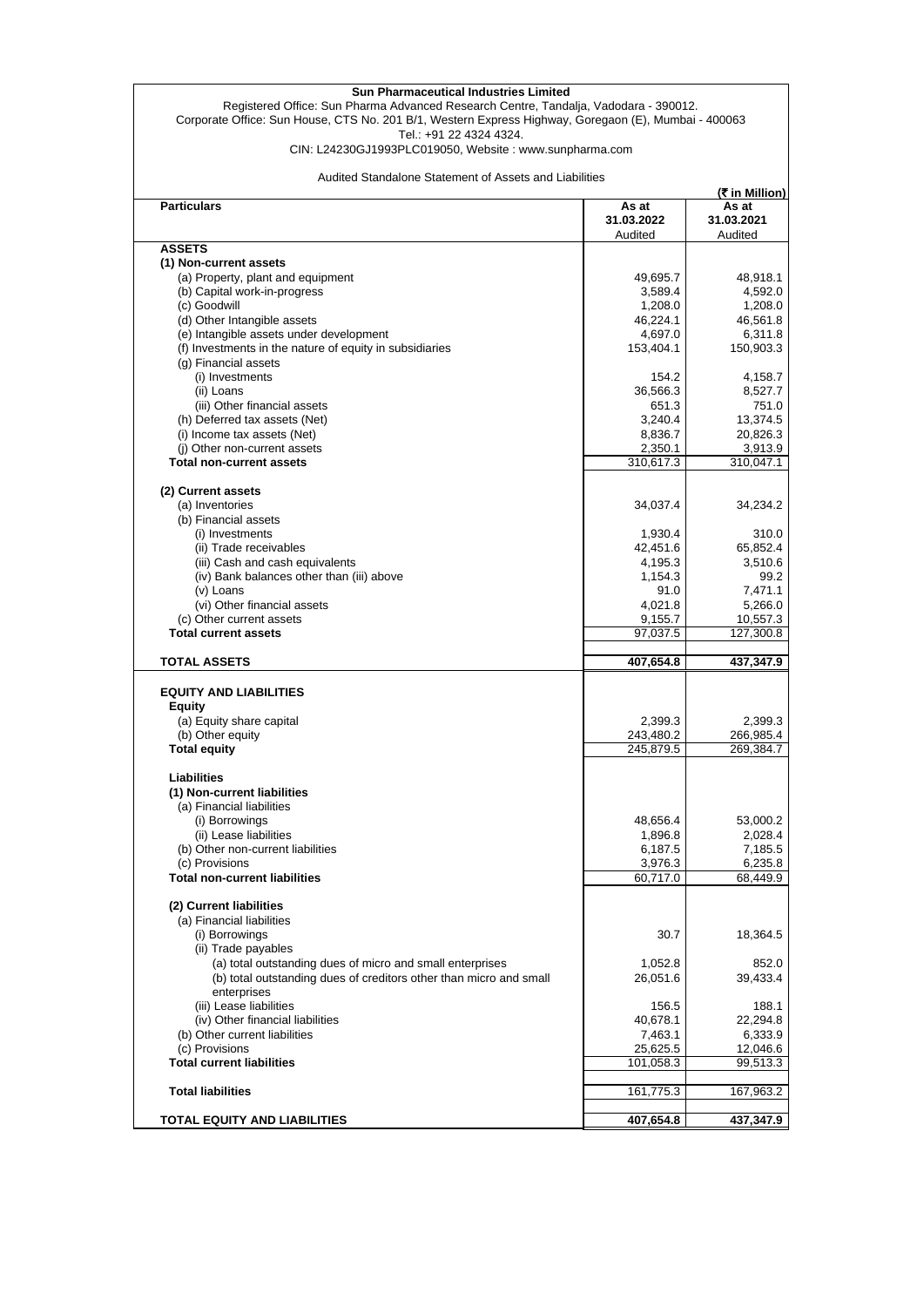Registered Office: Sun Pharma Advanced Research Centre, Tandalja, Vadodara - 390012. Corporate Office: Sun House, CTS No. 201 B/1, Western Express Highway, Goregaon (E), Mumbai - 400063 Tel.: +91 22 4324 4324.

CIN: L24230GJ1993PLC019050, Website : www.sunpharma.com

Audited Standalone Statement of Assets and Liabilities

|                                                                    |            | (₹ in Million) |
|--------------------------------------------------------------------|------------|----------------|
| <b>Particulars</b>                                                 | As at      | As at          |
|                                                                    | 31.03.2022 | 31.03.2021     |
|                                                                    | Audited    | Audited        |
| <b>ASSETS</b>                                                      |            |                |
| (1) Non-current assets                                             |            |                |
| (a) Property, plant and equipment                                  | 49,695.7   | 48,918.1       |
|                                                                    |            |                |
| (b) Capital work-in-progress                                       | 3,589.4    | 4,592.0        |
| (c) Goodwill                                                       | 1,208.0    | 1,208.0        |
| (d) Other Intangible assets                                        | 46,224.1   | 46,561.8       |
| (e) Intangible assets under development                            | 4,697.0    | 6,311.8        |
| (f) Investments in the nature of equity in subsidiaries            | 153,404.1  | 150,903.3      |
| (g) Financial assets                                               |            |                |
| (i) Investments                                                    | 154.2      | 4,158.7        |
| (ii) Loans                                                         | 36,566.3   | 8,527.7        |
| (iii) Other financial assets                                       | 651.3      | 751.0          |
|                                                                    | 3,240.4    |                |
| (h) Deferred tax assets (Net)                                      |            | 13,374.5       |
| (i) Income tax assets (Net)                                        | 8,836.7    | 20,826.3       |
| (i) Other non-current assets                                       | 2,350.1    | 3,913.9        |
| <b>Total non-current assets</b>                                    | 310,617.3  | 310,047.1      |
|                                                                    |            |                |
| (2) Current assets                                                 |            |                |
| (a) Inventories                                                    | 34,037.4   | 34,234.2       |
| (b) Financial assets                                               |            |                |
| (i) Investments                                                    | 1,930.4    | 310.0          |
|                                                                    | 42,451.6   |                |
| (ii) Trade receivables                                             |            | 65,852.4       |
| (iii) Cash and cash equivalents                                    | 4,195.3    | 3,510.6        |
| (iv) Bank balances other than (iii) above                          | 1,154.3    | 99.2           |
| (v) Loans                                                          | 91.0       | 7,471.1        |
| (vi) Other financial assets                                        | 4,021.8    | 5,266.0        |
| (c) Other current assets                                           | 9,155.7    | 10,557.3       |
| <b>Total current assets</b>                                        | 97,037.5   | 127,300.8      |
|                                                                    |            |                |
| <b>TOTAL ASSETS</b>                                                | 407,654.8  | 437,347.9      |
|                                                                    |            |                |
| <b>EQUITY AND LIABILITIES</b>                                      |            |                |
|                                                                    |            |                |
| Equity                                                             |            |                |
| (a) Equity share capital                                           | 2,399.3    | 2,399.3        |
| (b) Other equity                                                   | 243,480.2  | 266,985.4      |
| <b>Total equity</b>                                                | 245,879.5  | 269,384.7      |
|                                                                    |            |                |
| <b>Liabilities</b>                                                 |            |                |
| (1) Non-current liabilities                                        |            |                |
| (a) Financial liabilities                                          |            |                |
| (i) Borrowings                                                     | 48,656.4   | 53,000.2       |
| (ii) Lease liabilities                                             | 1,896.8    | 2,028.4        |
|                                                                    |            |                |
| (b) Other non-current liabilities                                  | 6,187.5    | 7,185.5        |
| (c) Provisions                                                     | 3,976.3    | 6,235.8        |
| <b>Total non-current liabilities</b>                               | 60,717.0   | 68,449.9       |
|                                                                    |            |                |
| (2) Current liabilities                                            |            |                |
| (a) Financial liabilities                                          |            |                |
| (i) Borrowings                                                     | 30.7       | 18,364.5       |
| (ii) Trade payables                                                |            |                |
| (a) total outstanding dues of micro and small enterprises          | 1,052.8    | 852.0          |
| (b) total outstanding dues of creditors other than micro and small | 26,051.6   | 39,433.4       |
|                                                                    |            |                |
| enterprises                                                        |            |                |
| (iii) Lease liabilities                                            | 156.5      | 188.1          |
| (iv) Other financial liabilities                                   | 40,678.1   | 22,294.8       |
| (b) Other current liabilities                                      | 7,463.1    | 6,333.9        |
| (c) Provisions                                                     | 25,625.5   | 12,046.6       |
| <b>Total current liabilities</b>                                   | 101,058.3  | 99,513.3       |
|                                                                    |            |                |
| <b>Total liabilities</b>                                           | 161,775.3  | 167,963.2      |
|                                                                    |            |                |
| TOTAL EQUITY AND LIABILITIES                                       | 407,654.8  | 437,347.9      |
|                                                                    |            |                |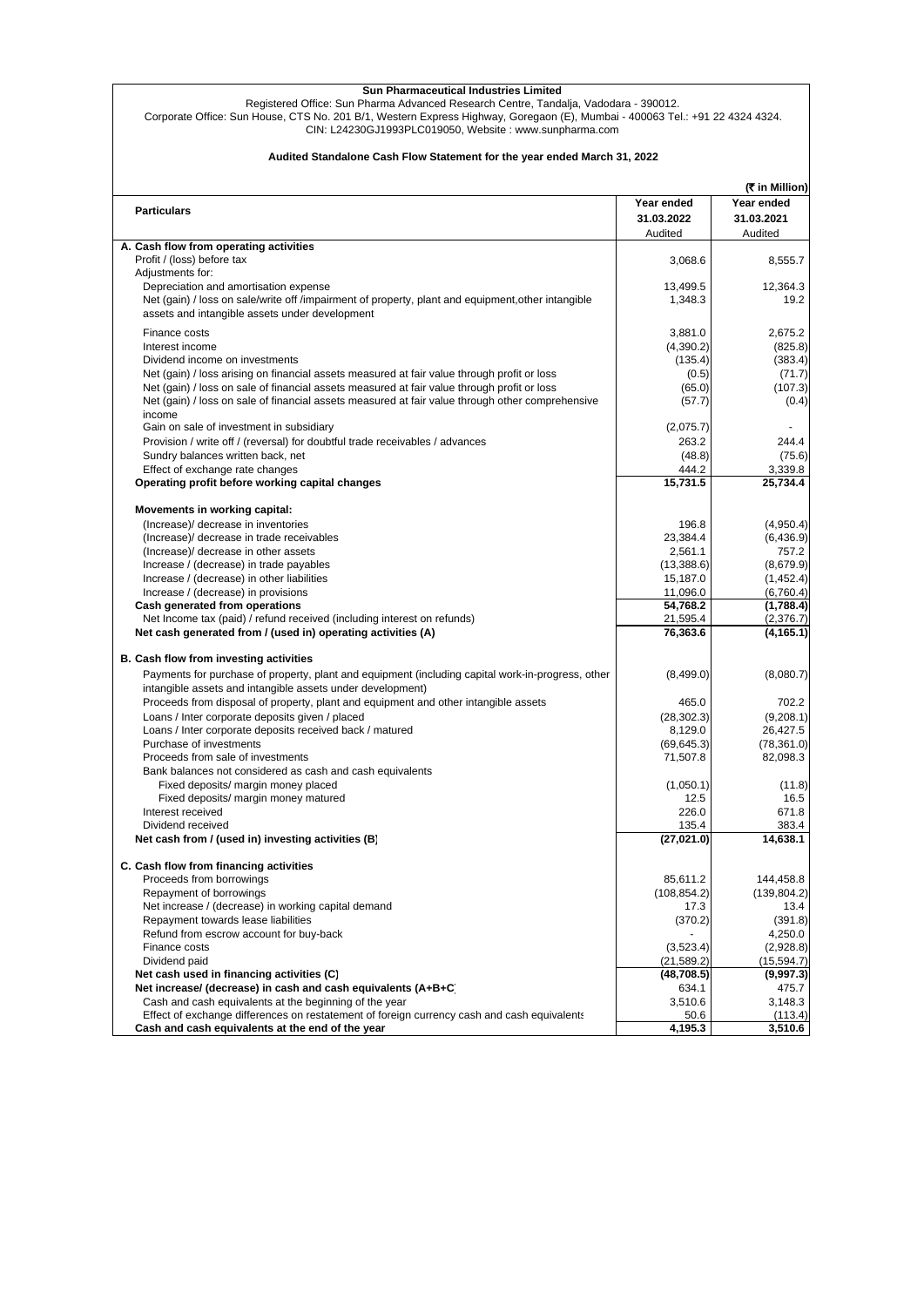Registered Office: Sun Pharma Advanced Research Centre, Tandalja, Vadodara - 390012.

Corporate Office: Sun House, CTS No. 201 B/1, Western Express Highway, Goregaon (E), Mumbai - 400063 Tel.: +91 22 4324 4324. CIN: L24230GJ1993PLC019050, Website : www.sunpharma.com

## **Audited Standalone Cash Flow Statement for the year ended March 31, 2022**

|                                                                                                                                                                 |                   | (रै in Million) |
|-----------------------------------------------------------------------------------------------------------------------------------------------------------------|-------------------|-----------------|
|                                                                                                                                                                 | Year ended        | Year ended      |
| <b>Particulars</b>                                                                                                                                              | 31.03.2022        | 31.03.2021      |
|                                                                                                                                                                 | Audited           | Audited         |
| A. Cash flow from operating activities                                                                                                                          |                   |                 |
| Profit / (loss) before tax                                                                                                                                      | 3,068.6           | 8,555.7         |
| Adjustments for:                                                                                                                                                |                   |                 |
| Depreciation and amortisation expense                                                                                                                           | 13,499.5          | 12,364.3        |
| Net (gain) / loss on sale/write off /impairment of property, plant and equipment, other intangible                                                              | 1,348.3           | 19.2            |
| assets and intangible assets under development                                                                                                                  |                   |                 |
| Finance costs                                                                                                                                                   | 3,881.0           | 2,675.2         |
| Interest income                                                                                                                                                 | (4,390.2)         | (825.8)         |
| Dividend income on investments                                                                                                                                  | (135.4)           | (383.4)         |
| Net (gain) / loss arising on financial assets measured at fair value through profit or loss                                                                     | (0.5)             | (71.7)          |
| Net (gain) / loss on sale of financial assets measured at fair value through profit or loss                                                                     | (65.0)            | (107.3)         |
| Net (gain) / loss on sale of financial assets measured at fair value through other comprehensive                                                                | (57.7)            | (0.4)           |
| income                                                                                                                                                          |                   |                 |
| Gain on sale of investment in subsidiary                                                                                                                        | (2,075.7)         |                 |
| Provision / write off / (reversal) for doubtful trade receivables / advances                                                                                    | 263.2             | 244.4           |
| Sundry balances written back, net                                                                                                                               | (48.8)            | (75.6)          |
| Effect of exchange rate changes                                                                                                                                 | 444.2<br>15,731.5 | 3,339.8         |
| Operating profit before working capital changes                                                                                                                 |                   | 25,734.4        |
| Movements in working capital:                                                                                                                                   |                   |                 |
| (Increase)/ decrease in inventories                                                                                                                             | 196.8             | (4,950.4)       |
| (Increase)/ decrease in trade receivables                                                                                                                       | 23,384.4          | (6, 436.9)      |
| (Increase)/ decrease in other assets                                                                                                                            | 2,561.1           | 757.2           |
| Increase / (decrease) in trade payables                                                                                                                         | (13,388.6)        | (8,679.9)       |
| Increase / (decrease) in other liabilities                                                                                                                      | 15,187.0          | (1,452.4)       |
| Increase / (decrease) in provisions                                                                                                                             | 11,096.0          | (6,760.4)       |
| Cash generated from operations                                                                                                                                  | 54,768.2          | (1,788.4)       |
| Net Income tax (paid) / refund received (including interest on refunds)                                                                                         | 21,595.4          | (2,376.7)       |
| Net cash generated from / (used in) operating activities (A)                                                                                                    | 76,363.6          | (4, 165.1)      |
| B. Cash flow from investing activities                                                                                                                          |                   |                 |
| Payments for purchase of property, plant and equipment (including capital work-in-progress, other<br>intangible assets and intangible assets under development) | (8,499.0)         | (8,080.7)       |
| Proceeds from disposal of property, plant and equipment and other intangible assets                                                                             | 465.0             | 702.2           |
| Loans / Inter corporate deposits given / placed                                                                                                                 | (28, 302.3)       | (9,208.1)       |
| Loans / Inter corporate deposits received back / matured                                                                                                        | 8,129.0           | 26,427.5        |
| Purchase of investments                                                                                                                                         | (69, 645.3)       | (78, 361.0)     |
| Proceeds from sale of investments                                                                                                                               | 71,507.8          | 82,098.3        |
| Bank balances not considered as cash and cash equivalents                                                                                                       |                   |                 |
| Fixed deposits/ margin money placed                                                                                                                             | (1,050.1)         | (11.8)          |
| Fixed deposits/ margin money matured                                                                                                                            | 12.5              | 16.5            |
| Interest received                                                                                                                                               | 226.0             | 671.8           |
| Dividend received                                                                                                                                               | 135.4             | 383.4           |
| Net cash from / (used in) investing activities (B)                                                                                                              | (27, 021.0)       | 14,638.1        |
| C. Cash flow from financing activities                                                                                                                          |                   |                 |
| Proceeds from borrowings                                                                                                                                        | 85,611.2          | 144,458.8       |
| Repayment of borrowings                                                                                                                                         | (108, 854.2)      | (139, 804.2)    |
| Net increase / (decrease) in working capital demand                                                                                                             | 17.3              | 13.4            |
| Repayment towards lease liabilities                                                                                                                             | (370.2)           | (391.8)         |
| Refund from escrow account for buy-back                                                                                                                         |                   | 4,250.0         |
| Finance costs                                                                                                                                                   | (3,523.4)         | (2,928.8)       |
| Dividend paid                                                                                                                                                   | (21, 589.2)       | (15, 594.7)     |
| Net cash used in financing activities (C)                                                                                                                       | (48,708.5)        | (9,997.3)       |
| Net increase/ (decrease) in cash and cash equivalents (A+B+C)                                                                                                   | 634.1             | 475.7           |
| Cash and cash equivalents at the beginning of the year                                                                                                          | 3,510.6           | 3,148.3         |
| Effect of exchange differences on restatement of foreign currency cash and cash equivalents                                                                     | 50.6              | (113.4)         |
| Cash and cash equivalents at the end of the year                                                                                                                | 4,195.3           | 3,510.6         |